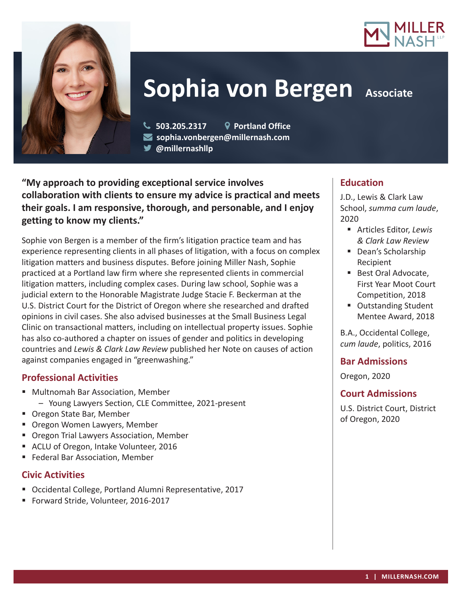



# **Sophia von Bergen Associate**

 **503.205.2317 Portland Office sophia.vonbergen@millernash.com @millernashllp**

**"My approach to providing exceptional service involves collaboration with clients to ensure my advice is practical and meets their goals. I am responsive, thorough, and personable, and I enjoy getting to know my clients."**

Sophie von Bergen is a member of the firm's litigation practice team and has experience representing clients in all phases of litigation, with a focus on complex litigation matters and business disputes. Before joining Miller Nash, Sophie practiced at a Portland law firm where she represented clients in commercial litigation matters, including complex cases. During law school, Sophie was a judicial extern to the Honorable Magistrate Judge Stacie F. Beckerman at the U.S. District Court for the District of Oregon where she researched and drafted opinions in civil cases. She also advised businesses at the Small Business Legal Clinic on transactional matters, including on intellectual property issues. Sophie has also co-authored a chapter on issues of gender and politics in developing countries and *Lewis & Clark Law Review* published her Note on causes of action against companies engaged in "greenwashing."

## **Professional Activities**

- Multnomah Bar Association, Member
	- Young Lawyers Section, CLE Committee, 2021-present
- Oregon State Bar, Member
- **Oregon Women Lawyers, Member**
- **Oregon Trial Lawyers Association, Member**
- ACLU of Oregon, Intake Volunteer, 2016
- **Federal Bar Association, Member**

## **Civic Activities**

- Occidental College, Portland Alumni Representative, 2017
- Forward Stride, Volunteer, 2016-2017

## **Education**

J.D., Lewis & Clark Law School, *summa cum laude*, 2020

- Articles Editor, *Lewis & Clark Law Review*
- Dean's Scholarship Recipient
- Best Oral Advocate, First Year Moot Court Competition, 2018
- Outstanding Student Mentee Award, 2018

B.A., Occidental College, *cum laude*, politics, 2016

## **Bar Admissions**

Oregon, 2020

# **Court Admissions**

U.S. District Court, District of Oregon, 2020